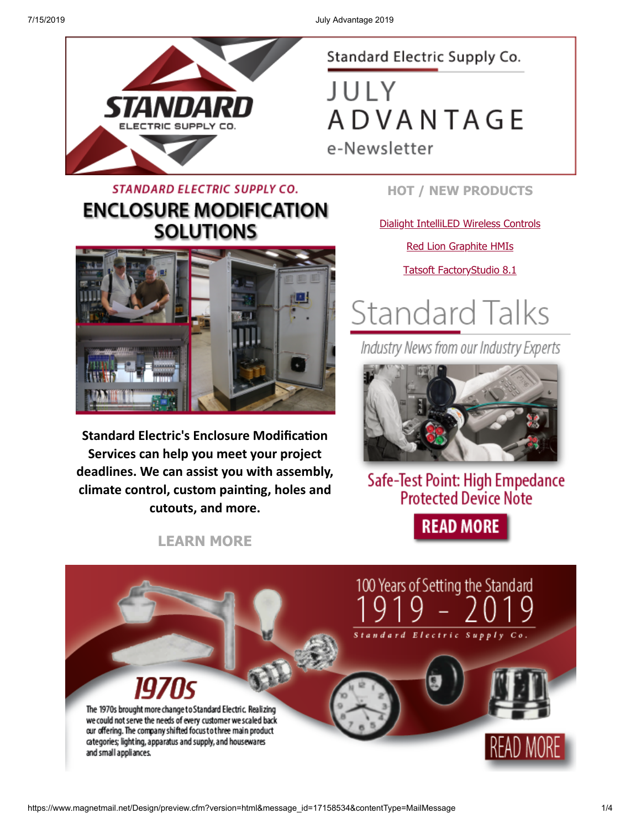

#### Standard Electric Supply Co.

JULY **ADVANTAGE** 

e-Newsletter

#### **STANDARD ELECTRIC SUPPLY CO. ENCLOSURE MODIFICATION SOLUTIONS**



**Standard Electric's Enclosure Modification Services can help you meet your project deadlines. We can assist you with assembly, climate control, custom painting, holes and cutouts, and more.**

**[LEARN MORE](https://www.standardelectricsupply.com/content/enclosure-modification/?utm_source=Higher%20Logic&utm_medium=INSERT_CHANNEL%20&utm_content=INSERT_RECIPIENT_ID&utm_campaign=INSERT_LINK_ID)**

**HOT / NEW PRODUCTS**

[Dialight IntelliLED Wireless Controls](https://images.magnetmail.net/images/clients/SESC/attach/enewsletter_2019/Dialight_IntelliLED.pdf)

[Red Lion Graphite HMIs](https://images.magnetmail.net/images/clients/SESC/attach/enewsletter_2019/RedLion_Graphite.pdf)

[Tatsoft FactoryStudio 8.1](https://images.magnetmail.net/images/clients/SESC/attach/enewsletter_2019/Tatsoft_FactoryStudio.pdf)

# **Standard Talks**

Industry News from our Industry Experts



Safe-Test Point: High Empedance **Protected Device Note** 

**READ MORE** 

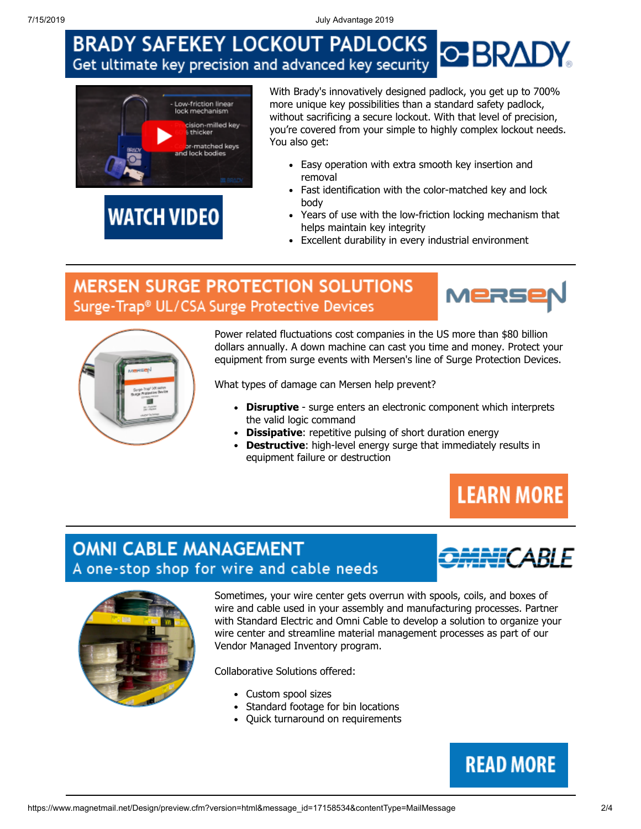7/15/2019 July Advantage 2019

#### **BRADY SAFEKEY LOCKOUT PADLOCKS BRADY** Get ultimate key precision and advanced key security



**WATCH VIDEO** 

With Brady's innovatively designed padlock, you get up to 700% more unique key possibilities than a standard safety padlock, without sacrificing a secure lockout. With that level of precision, you're covered from your simple to highly complex lockout needs. You also get:

- Easy operation with extra smooth key insertion and removal
- Fast identification with the color-matched key and lock body
- Years of use with the low-friction locking mechanism that helps maintain key integrity
- Excellent durability in every industrial environment

#### **MERSEN SURGE PROTECTION SOLUTIONS** Surge-Trap® UL/CSA Surge Protective Devices





Power related fluctuations cost companies in the US more than \$80 billion dollars annually. A down machine can cast you time and money. Protect your equipment from surge events with Mersen's line of Surge Protection Devices.

What types of damage can Mersen help prevent?

- **Disruptive**  surge enters an electronic component which interprets the valid logic command
- **Dissipative**: repetitive pulsing of short duration energy
- **Destructive**: high-level energy surge that immediately results in equipment failure or destruction

## **LEARN MORE**

#### **OMNI CABLE MANAGEMENT** A one-stop shop for wire and cable needs





Sometimes, your wire center gets overrun with spools, coils, and boxes of wire and cable used in your assembly and manufacturing processes. Partner with Standard Electric and Omni Cable to develop a solution to organize your wire center and streamline material management processes as part of our Vendor Managed Inventory program.

Collaborative Solutions offered:

- Custom spool sizes
- Standard footage for bin locations
- Quick turnaround on requirements

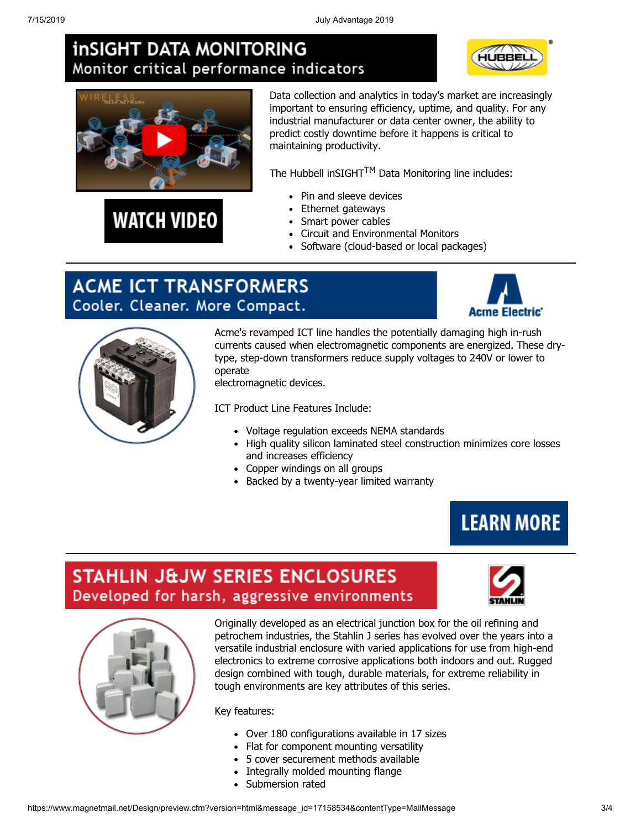#### **inSIGHT DATA MONITORING** Monitor critical performance indicators





**WATCH VIDEO** 

Data collection and analytics in today's market are increasingly important to ensuring efficiency, uptime, and quality. For any industrial manufacturer or data center owner, the ability to predict costly downtime before it happens is critical to maintaining productivity.

The Hubbell inSIGHT $^{TM}$  Data Monitoring line includes:

- Pin and sleeve devices
- Ethernet gateways
- Smart power cables
- Circuit and Environmental Monitors
- Software (cloud-based or local packages)

#### **ACME ICT TRANSFORMERS** Cooler. Cleaner. More Compact.





Acme's revamped ICT line handles the potentially damaging high in-rush currents caused when electromagnetic components are energized. These drytype, step-down transformers reduce supply voltages to 240V or lower to operate

electromagnetic devices.

ICT Product Line Features Include:

- Voltage regulation exceeds NEMA standards
- High quality silicon laminated steel construction minimizes core losses and increases efficiency
- Copper windings on all groups
- Backed by a twenty-year limited warranty



#### **STAHLIN J&JW SERIES ENCLOSURES** Developed for harsh, aggressive environments



Originally developed as an electrical junction box for the oil refining and petrochem industries, the Stahlin J series has evolved over the years into a versatile industrial enclosure with varied applications for use from high-end electronics to extreme corrosive applications both indoors and out. Rugged design combined with tough, durable materials, for extreme reliability in tough environments are key attributes of this series.

Key features:

- Over 180 configurations available in 17 sizes
- Flat for component mounting versatility
- 5 cover securement methods available
- Integrally molded mounting flange
- Submersion rated